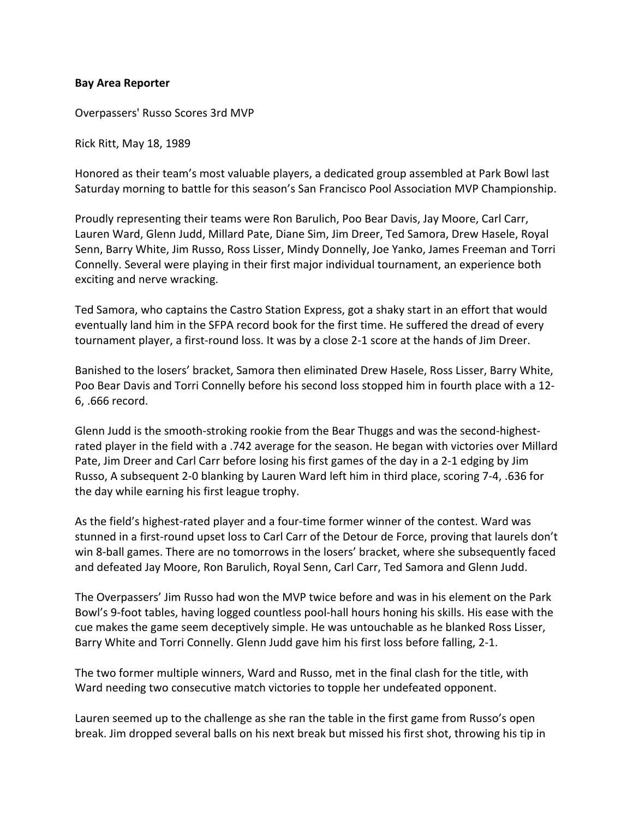## **Bay Area Reporter**

Overpassers' Russo Scores 3rd MVP

Rick Ritt, May 18, 1989

Honored as their team's most valuable players, a dedicated group assembled at Park Bowl last Saturday morning to battle for this season's San Francisco Pool Association MVP Championship.

Proudly representing their teams were Ron Barulich, Poo Bear Davis, Jay Moore, Carl Carr, Lauren Ward, Glenn Judd, Millard Pate, Diane Sim, Jim Dreer, Ted Samora, Drew Hasele, Royal Senn, Barry White, Jim Russo, Ross Lisser, Mindy Donnelly, Joe Yanko, James Freeman and Torri Connelly. Several were playing in their first major individual tournament, an experience both exciting and nerve wracking.

Ted Samora, who captains the Castro Station Express, got a shaky start in an effort that would eventually land him in the SFPA record book for the first time. He suffered the dread of every tournament player, a first-round loss. It was by a close 2-1 score at the hands of Jim Dreer.

Banished to the losers' bracket, Samora then eliminated Drew Hasele, Ross Lisser, Barry White, Poo Bear Davis and Torri Connelly before his second loss stopped him in fourth place with a 12- 6, .666 record.

Glenn Judd is the smooth-stroking rookie from the Bear Thuggs and was the second-highestrated player in the field with a .742 average for the season. He began with victories over Millard Pate, Jim Dreer and Carl Carr before losing his first games of the day in a 2-1 edging by Jim Russo, A subsequent 2-0 blanking by Lauren Ward left him in third place, scoring 7-4, .636 for the day while earning his first league trophy.

As the field's highest-rated player and a four-time former winner of the contest. Ward was stunned in a first-round upset loss to Carl Carr of the Detour de Force, proving that laurels don't win 8-ball games. There are no tomorrows in the losers' bracket, where she subsequently faced and defeated Jay Moore, Ron Barulich, Royal Senn, Carl Carr, Ted Samora and Glenn Judd.

The Overpassers' Jim Russo had won the MVP twice before and was in his element on the Park Bowl's 9-foot tables, having logged countless pool-hall hours honing his skills. His ease with the cue makes the game seem deceptively simple. He was untouchable as he blanked Ross Lisser, Barry White and Torri Connelly. Glenn Judd gave him his first loss before falling, 2-1.

The two former multiple winners, Ward and Russo, met in the final clash for the title, with Ward needing two consecutive match victories to topple her undefeated opponent.

Lauren seemed up to the challenge as she ran the table in the first game from Russo's open break. Jim dropped several balls on his next break but missed his first shot, throwing his tip in